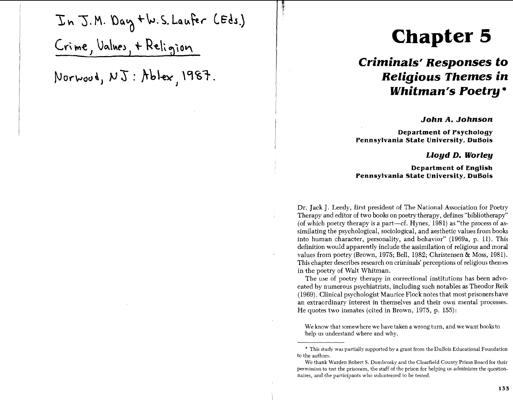# **Chapter 5**

## *Criminals' Responses to Religious Themes in Whitman's Poetry* \*

*John A. Johnson* 

**Department of Psychology Pennsylvania State University, DuBois** 

*Lloyd D. Worley* 

**Department of English Pennsylvania State University, DuBois** 

Dr. Jack J. Leedy, first president of The National Association for Poetry Therapy and editor of two books on poetry therapy, defines "bibliotherapy" (of which poetry therapy is a part-cf. Hynes,  $1981$ ) as "the process of assimilating the psychological, sociological, and aesthetic values from books into human character, personality, and behavior" (1969a, p. 11). This definition would apparently include the assimilation of religious and moral values from poetry (Brown, 1975; Bell, 1982; Christensen & Moss, 1981). This chapter describes research on criminals' perceptions of religious themes in the poetry of Walt Whitman.

The use of poetry therapy in correctional institutions has been advocated by numerous psychiatrists, including such notables as Theodor Reik (1969). Clinical psychologist Maurice Flock notes that most prisoners have an extraordinary interest in themselves and their own mental processes. He quotes two inmates (cited in Brown, 1975, p. 155):

We know that somewhere we have taken a wrong turn, and we want books to 'help us understand where and why.

In J.M. Day + W. S. Laufer (Eds.)

Crime, Values, + Religion

Norwood, NJ: Ablex, 1987.

<sup>\*</sup> This study was partially supported by a grant from the DuBois Educational Foundation to the authors.

We thank Warden Robert S. Dombrosky and the Clearfield County Prison Board for their permission to test the prisoners, the staff of the prison for helping us administer the questionnaires, and the participants who volunteered to be tested.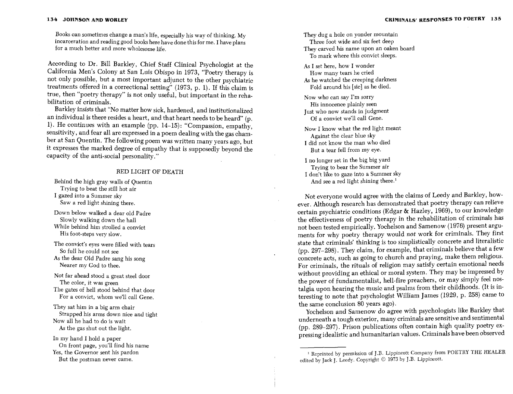Books can sometimes change a man's life, especially his way of thinking. My incarceration and reading good books here have done this for me. I have plans for a much better and more wholesome life.

According to Dr. Bill Barkley, Chief Staff Clinical Psychologist at the California Men's Colony at San Luis Obispo in 1973, "Poetry therapy is not only possible, but a most important adjunct to the other psychiatric treatments offered in a correctional setting" (1973, p. 1). If this claim is true, then "poetry therapy" is not only useful, but important in the rehabilitation of criminals.

Barkley insists that "No matter how sick, hardened, and institutionalized an individual is there resides a heart, and that heart needs to be heard" (p. 1). He continues with an example (pp. 14-15): "Compassion, empathy, sensitivity, and fear all are expressed in a poem dealing with the gas chamber at San Quentin. The following poem was written many years ago, but it expresses the marked degree of empathy that is supposedly beyond the capacity of the anti-social personality."

#### RED LIGHT OF DEATH

Behind the high gray walls of Quentin Trying to beat the still hot air I gazed into a Summer sky Saw a red light shining there.

Down below walked a dear old Padre Slowly walking down the hall While behind him strolled a convict His foot-steps very slow.

The convict's eyes were filled with tears So full he could not see As the dear Old Padre sang his song Nearer my God to thee.

Not far ahead stood a great steel door The color, it was green The gates of hell stood behind that door For a convict, whom we'll call Gene.

They sat him in a big arm chair Strapped his arms down nice and tight Now all he had to do is wait As the gas shut out the light.

In my hand I hold a paper On front page, you'll find his name Yes, the Governor sent his pardon But the postman never came.

They dug a hole on yonder mountain Three foot wide and six feet deep They carved his name upon an oaken board To mark where this convict sleeps.

As I set here, how I wonder How many tears he cried As he watched the creeping darkness Fold around his [sic] as he died.

Now who can say I'm sorry His innocence plainly seen Just who now stands in judgment Of a convict we'll call Gene.

Now I know what the red light meant Against the clear blue sky I did not know the man who died But a tear fell from my eye.

I no longer set in the big big yard Trying to bear the Summer air I don't like to gaze into a Summer sky And see a red light shining there.'

Not everyone would agree with the claims of Leedy and Barkley, however. Although research has demonstrated that poetry therapy can relieve certain psychiatric conditions (Edgar & Hazley, 1969), to our knowledge the effectiveness of poetry therapy in the rehabilitation of criminals has not been tested empirically. Yochelson and Samenow (1976) present arguments for why poetry therapy would not work for criminals. They first state that criminals' thinking is too simplistically concrete and literalistic (pp. 297-298). They claim, for example, that criminals believe that a few concrete acts, such as going to church and praying, make them religious. For criminals, the rituals of religion may satisfy certain emotional needs without providing an ethical or moral system. They may be impressed by the power of fundamentalist, hell-fire preachers, or may simply feel nostalgia upon hearing the music and psalms from their childhoods. (It is interesting to note that psychologist William James (1929, p. 258) came to the same conclusion 80 years ago).

Yochelson and Samenow do agree with psychologists like Barkley that underneath a tough exterior, many criminals are sensitive and sentimental (pp. 289-297). Prison publications often contain high quality poetry expressing idealistic and humanitarian values. Criminals have been observed

<sup>&</sup>lt;sup>1</sup> Reprinted by permission of J.B. Lippincott Company from POETRY THE HEALER edited by Jack J. Leedy. Copyright *O* 1973 by J.B. Lippincott.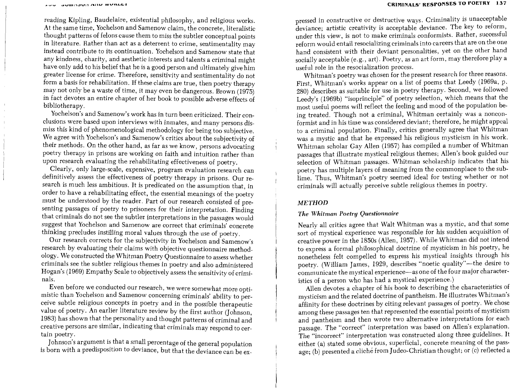*AVILITARIA ARE INVALIA* 

reading Kipling, Baudelaire, existential philosophy, and religious works. At the same time, Yochelson and Samenow claim, the concrete, literalistic thought patterns of felons cause them to miss the subtler conceptual points in literature. Rather than act as a deterrent to crime, sentimentality may instead contribute to its continuation. Yochelson and Samenow state that any kindness, charity, and aesthetic interests and talents a criminal might have only add to his belief that he is a good person and ultimately give him greater license for crime. Therefore, sensitivity and sentimentality do not form a basis for rehabilitation. If these claims are true, then poetry therapy may not only be a waste of time, it may even be dangerous. Brown (1975) in fact devotes an entire chapter of her book to possible adverse effects of bibliotherapy.

Yochelson's and Samenow's work has in turn been criticized. Their conclusions were based upon interviews with inmates, and many persons dismiss this kind of phenomenological methodology for being too subjective. We agree with Yochelson's and Samenow's critics about the subjectivity of their methods. On the other hand, as far as we know, persons advocating poetry therapy in prisons are working on faith and intuition rather than upon research evaluating the rehabilitating effectiveness of poetry.

Clearly, only large-scale, expensive, program evaluation research can definitively assess the effectiveness of poetry therapy in prisons. Our research is much less ambitious. It is predicated on the assumption that, in order to have a rehabilitating effect, the essential meanings of the poetry must be understood by the reader. Part of our research consisted of presenting passages of poetry to prisoners for their interpretation. Finding that criminals do not see the subtler interpretations in the passages would suggest that Yochelson and Samenow are correct that criminals' concrete thinking precludes instilling moral values through the use of poetry.

Our research corrects for the subjectivity in Yochelson and Samenow's research by evaluating their claims with objective questionnaire methodology. We constructed the Whitman Poetry Questionnaire to assess whether criminals see the subtler religious themes in poetry and also administered Hogan's (1969) Empathy Scale to objectively assess the sensitivity of criminals.

Even before we conducted our research, we were somewhat more optimistic than Yochelson and Samenow concerning criminals' ability to perceive subtle religious concepts in poetry and in the possible therapeutic value of poetry. An earlier literature review by the first author (Johnson, 1983) has shown that the personality and thought patterns of criminal and creative persons are similar, indicating that criminals may respond to certain poetry.

Johnson's argument is that a small percentage of the general population is born with a predisposition to deviance, but that the deviance can be expessed in constructive or destructive ways. Criminality is unacceptable deviance; artistic creativity is acceptable deviance. The key to reform, under this view, is not to make criminals conformists. Rather, successful reform would entail resocializing criminals into careers that are on the one hand consistent with their deviant personalities, yet on the other hand socially acceptable (e.g., art). Poetry, as an art form, may therefore play a useful role in the resocialization process.

Whitman's poetry was chosen for the present research for three reasons. First, Whitman's works appear on a list of poems that Leedy (1969a, p. 280) describes as suitable for use in poetry therapy. Second, we followed Leedy's (1969b) "isoprinciple" of poetry selection, which means that the most useful poems will reflect the feeling and mood of the population being treated. Though not a criminal, Whitman certainly was a nonconformist and in his time was considered deviant; therefore, he might appeal to a criminal population. Finally, critics generally agree that Whitman was a mystic and that he expressed his religious mysticism in his work. Whitman scholar Gay Allen (1957) has compiled a number of Whitman passages that illustrate mystical religious themes; Allen's book guided our selection of Whitman passages. Whitman scholarship indicates that his poetry has multiple layers of meaning from the commonplace to the sublime. Thus, Whitman's poetry seemed ideal for testing whether or not criminals will actually perceive subtle religious themes in poetry.

#### *METHOD*

#### *The Whitman Poetry Questionnaire*

Nearly all critics agree that Walt Whitman was a mystic, and that some sort of mystical experience was responsible for his sudden acquisition of creative power in the 1850s (Allen, 1957). While Whitman did not intend to express a formal philosophical doctrine of mysticism in his poetry, he nonetheless felt compelled to express his mystical insights through his poetry. (William James, 1929, describes "noetic quality"-the desire to communicate the mystical experience-as one of the four major characteristics of a person who has had a mystical experience.)

Allen devotes a chapter of his book to describing the characteristics of mysticism and the related doctrine of pantheism. He illustrates Whitman's affinity for these doctrines by citing relevant passages of poetry. We chose among these passages ten that represented the essential points of mysticism and pantheism and then wrote two alternative interpretations for each passage. The "correct" interpretation was based on Allen's explanation. The "incorrect" interpretation was constructed along three guidelines. It either (a) stated some obvious, superficial, concrete meaning of the passage; (b) presented a cliche from Judeo-Christian thought; or (c) reflected a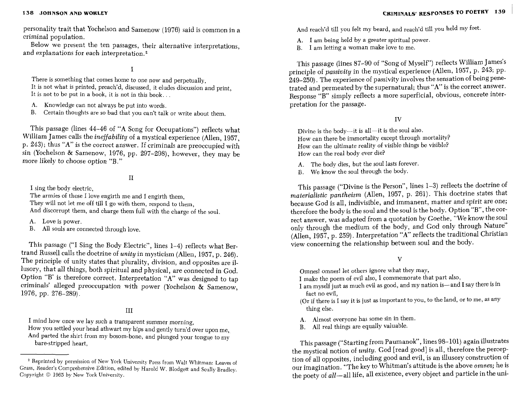personality trait that Yochelson and Samenow (1976) said is common in a criminal population.

Below we present the ten passages, their alternative interpretations, and explanations for each interpretation.<sup>2</sup>

 $\mathbf{I}$ 

There is something that comes home to one now and perpetually, It is not what is printed, preach'd, discussed, it eludes discussion and print, It is not to be put in a book, it is not in this book. . .

- A. Knowledge can not always be put into words.
- B. Certain thoughts are so bad that you can't talk or write about them.

This passage (lines 44-46 of "A Song for Occupations") reflects what William James calls the *ineffability* of a mystical experience (Allen, 1957, p. 243); thus "A" is the correct answer. If criminals are preoccupied with sin (Yochelson & Samenow, 1976, pp. 297-298), however, they may be more likely to choose option "B."

#### $\mathbf{I}$

I sing the body electric, The armies of those I love engirth me and I engirth them, They will not let me off till I go with them, respond to them, And discorrupt them, and charge them full with the charge of the soul.

- A. Love is power.
- B. All souls are connected through love.

This passage ("I Sing the Body Electric", lines 1-4) reflects what Bertrand Russell calls the doctrine of unity in mysticism (Allen, 1957, p. 246). The principle of unity states that plurality, division, and opposites are illusory, that all things, both spiritual and physical, are connected in God. Option "B' is therefore correct. Interpretation " $A$ " was designed to tap criminals' alleged preoccupation with power (Yochelson  $\&$  Samenow, 1976, pp. 276-289).

### $III$

I mind how once we lay such a transparent summer morning, How you settled your head athwart my hips and gently turn'd over upon me, And parted the shirt from my bosom-bone, and plunged your tongue to my bare-stripped heart,

And reach'd till you felt my beard, and reach'd till you held my feet.

- A. I am being held by a greater spiritual power.
- B. I am letting a woman make love to me.

This passage (lines 87-90 of "Song of Myself") reflects William James's principle of passivity in the mystical experience (Allen, 1957, p. 243; pp. 249-250). The experience of passivity involves the sensation of being penetrated and permeated by the supernatural; thus "A" is the correct answer. Response "B" simply reflects a more superficial, obvious, concrete interpretation for the passage.

### $IV$

Divine is the body-it is all-it is the soul also. How can there be immortality except through mortality? How can the ultimate reality of visible things be visible? How can the real body ever die?

- A. The body dies, but the soul lasts forever.
- B. We know the soul through the body.

This passage ("Divine is the Person", lines 1-3) reflects the doctrine of materialistic pantheism (Allen, 1957, p. 261). This doctrine states that because God is all, indivisible, and immanent, matter and spirit are one; therefore the body is the soul and the soul is the body. Option "B", the correct answer, was adapted from a quotation by Goethe, "We know the soul only through the medium of the body, and God only through Nature" (Allen, 1957, p. 259). Interpretation **"A"** reflects the traditional Christian view concerning the relationship between soul and the body.

#### $\overline{\mathbf{V}}$

Omnes! omnes! let others ignore what they may,

- I make the poem of evil also, I commemorate that part also,
- I am myself just as much evil as good, and my nation is-and I say there is in fact no evil,
- (Or if there is I say it is just as important to you, to the land, or to me, as any thing else.
- A. Almost everyone has some sin in them.
- B. All real things are equally valuable.

This passage ("Starting from Paumanok", lines 98-101) again illustrates the mystical notion of unity. God [read good] is all, therefore the perception of all opposites, including good and evil, is an illusory construction of our imagination. "The key to Whitman's attitude is the above omnes; he is the poety of  $all$ -all life, all existence, every object and particle in the uni-

<sup>&</sup>lt;sup>2</sup> Reprinted by permission of New York University Press from Walt Whitman: Leaves of Grass, Reader's Comprehensive Edition, edited by Harold W. Blodgett and Scully Bradley. Copyright *O* 1965 by New York University.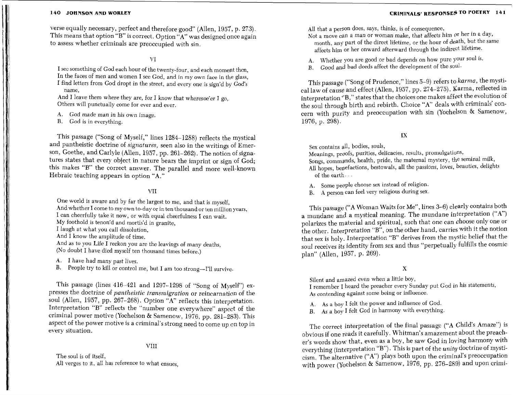#### 140 **JOHNSON** AND **WORLEY**

## $\overline{\phantom{0}141}$ **CRIMINALS' RESPONSES TO POETRY 141**

verse equally necessary, perfect and therefore good" (Allen, 1957, p. 273). This means that option "B" is correct. Option "A" was designed once again to assess whether criminals are preoccupied with sin.

VI<sub></sub>

I see something of God each hour of the twenty-four, and each moment then, In the faces of men and women I see God, and in my own face in the glass, I find letters from God dropt in the street, and every one is sign'd by God's name,

And I leave them where they are, for I know that wheresoe'er I go, Others will punctually come for ever and ever.

A. God made man in his own image.

B. God is in everything.

This passage ("Song of Myself," lines 1284-1288) reflects the mystical and pantheistic doctrine of *signatures,* seen also in the writings of Emerson, Goethe, and Carlyle (Allen, 1957, pp. 261-262). The notion of signatures states that every object in nature bears the imprint or sign of God; this makes "B" the correct answer. The parallel and more well-known Hebraic teaching appears in option "A."

#### VII

One world is aware and by far the largest to me, and that is myself, And whether I come to my own to-day or in ten thousand or ten million years, I can cheerfully take it now, or with equal cheerfulness I can wait. My foothold is tenon'd and mortis'd in granite, I laugh at what you call dissolution, And I know the amplitude of time. And as to you Life  $\overline{I}$  reckon you are the leavings of many deaths, (No doubt I have died myself ten thousand times before.)

A. I have had many past lives.

B. People try to kill or control me, but I am too strong-I'll survive.

This passage (lines 416-421 and 1297-1298 of "Song of Myself") expresses the doctrine of *pantheistic transmigration* or reincarnation of the soul (Allen, 1957, pp. 267-268). Option "A" reflects this interpretation. Interpretation "B" reflects the "number one everywhere" aspect of the criminal power motive (Yochelson & Samenow, 1976, pp. 281-283). This aspect of the power motive is a criminal's strong need to come up on top in every situation.

#### VIII

The soul is of itself, All verges to it, all has reference to what ensues. All that a person does, says, thinks, is of consequence,

Not a move can a man or woman make, that affects him or her in a day, month, any part of the direct lifetime, or the hour of death, but the same affects him or her onward afterward through the indirect lifetime.

- A. Whether YOU are good or bad depends on how pure your soul is.
- **B.** Good and bad deeds affect the development of the soul.

This passage ("Song of Prudence," lines 5-9) refers to *karma,* the mystical law of cause and effect (Allen, 1957, pp. 274-275). Karma, reflected in interpetation "B," states that the choices one makes affect the evolution of the soul through birth and rebirth. Choice "A" deals with criminals' concern with purity and preoccupation with sin (Yochelson & Samenow, 1976, p. 298).

#### $IX$

Sex contains all, bodies, souls,

Meanings, proofs, purities, delicacies, results, promulgations, Songs, commands, health, pride, the maternal mystery, the seminal milk, All hopes, benefactions, bestowals, all the passions, loves, beauties, delights of the earth. . .

- A. Some people choose sex instead of religion.
- B. **A** person can feel very religious during sex.

This passage ("A Woman Waits for Me", lines 3-6) clearly contains both a mundane and a mystical meaning. The mundane interpretation ("A") polarizes the material and spiritual, such that one can choose only one or the other. Interpretation "B", on the other hand, carries with it the notion that sex is holy. Interpretation "B" derives from the mystic belief that the soul receives its identity from sex and thus "perpetually fulfills the cosmic plan" (Allen, 1957, p. 269).

#### $\mathbf{X}$

Silent and amazed even when a little boy, I remember I heard the preacher every Sunday put God in his statements, As contending against some being or influence.

- A. As a boy I felt the power and influence of God.
- *B.* As a boy I felt God in harmony with everything.

The correct interpretation of the final passage ("A Child's Amaze") is obvious if one reads it carefully. Whitman's amazement about the preacher's words show that, even as a boy, he saw God in loving harmony with everything (interpretation "B") . This is part of the *unity* doctrine of mysticism. The alternative ("A") plays both upon the criminal's preoccupation with power (yochelson & Samenow, 1976, pp. 276-289) and upon crimi-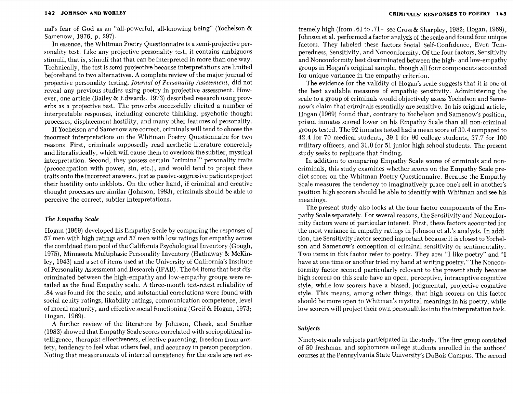nal's fear of God as an "all-powerful, all-knowing being" (Yochelson & Samenow, 1976, p. 297).

In essence, the Whitman Poetry Questionnaire is a semi-projective personality test. Like any projective personality test, it contains ambiguous stimuli, that is, stimuli that that can be interpreted in more than one way. Technically, the test is semi-projective because interpretations are limited beforehand to two alternatives. A complete review of the major journal of projective personality testing, Journal of Personality Assessment, did not reveal any previous studies using poetry in projective assessment. However, one article (Bailey & Edwards, 1973) described research using proverbs as a projective test. The proverbs successfully elicited a number of interpretable responses, including concrete thinking, psychotic thought processes, displacement hostility, and many other features of personality.

If Yochelson and Samenow are correct, criminals will tend to choose the incorrect interpretations on the Whitman Poetry Questionnaire for two reasons. First, criminals supposedly read aesthetic literature concretely and literalistically, which will cause them to overlook the subtler, mystical interpretation. Second, they possess certain "criminal" personality traits (preoccupation with power, sin, etc.), and would tend to project these traits onto the incorrect answers, just as passive-aggressive patients project their hostility onto inkblots. On the other hand, if criminal and creative thought processes are similar (Johnson, 1983), criminals should be able to perceive the correct, subtler interpretations.

#### *The Empathy Scale*

Hogan (1969) developed his Empathy Scale by comparing the responses of 57 men with high ratings and 57 men with low ratings for empathy across the combined item pool of the California Psychological Inventory (Gough, 1975), Minnesota Multiphasic Personality Inventory (Hathaway & McKinley, 1943) and a set of items used at the University of California's Institute of Personality Assessment and Research (IPAR). The 64 items that best discriminated between the high-empathy and low-empathy groups were retailed as the final Empathy scale. A three-month test-retest reliability of .84 was found for the scale, and substantial correlations were found with social acuity ratings, likability ratings, communication competence, level of moral maturity, and effective social functioning (Greif & Hogan, 1973; Hogan, 1969).

A further review of the literature by Johnson, Cheek, and Smither (1983) showed that Empathy Scale scores correlated with sociopolitical intelligence, therapist effectiveness, effective parenting, freedom from anxiety, tendency to feel what others feel, and accuracy in person perception. Noting that measurements of internal consistency for the scale are not extremely high (from .61 to .71-see Cross & Sharpley, 1982; Hogan, 1969), Johnson et al. performed a factor analysis of the scale and found four unique factors. They labeled these factors Social Self-confidence, Even Temperedness, Sensitivity, and Nonconformity. Of the four factors, Sensitivity and Nonconformity best discriminated between the high- and low-empathy groups in Hogan's original sample, though all four components accounted for unique variance in the empathy criterion.

The evidence for the validity of Hogan's scale suggests that it is one of the best available measures of empathic sensitivity. Administering the scale to a group of criminals would objectively assess Yochelson and Samenow's claim that criminals essentially are sensitive. In his original article, Hogan (1969) found that, contrary to Yochelson and Samenow's position, prison inmates scored lower on his Empathy Scale than all non-criminal groups tested. The 92 inmates tested had a mean score of 30.4 compared to 42.4 for 70 medical students, 39.1 for 90 college students, 37.7 for 100 military officers, and 31.0 for 51 junior high school students. The present study seeks to replicate that finding.

In addition to comparing Empathy Scale scores of criminals and noncriminals, this study examines whether scores on the Empathy Scale predict scores on the Whitman Poetry Questionnaire. Because the Empathy Scale measures the tendency to imaginatively place one's self in another's position high scorers should be able to identify with Whitman and see his meanings.

The present study also looks at the four factor components of the Empathy Scale separately. For several reasons, the Sensitivity and Nonconformity factors were of particular interest. First, these factors accounted for the most variance in empathy ratings in Johnson et al.'s analysis. In addition, the Sensitivity factor seemed important because it is closest to Yochelson and Samenow's conception of criminal sensitivity or sentimentality. Two items in this factor refer to poetry. They are: "1 like poetry" and "I have at one time or another tried my hand at writing poetry." The Nonconformity factor seemed particularly relevant to the present study because high scorers on this scale have an open, perceptive, intraceptive cognitive style, while low scorers have a biased, judgmental, projective cognitive style. This means, among other things, that high scorers on this factor should be more open to Whitman's mystical meanings in his poetry, while low scorers will project their own personalities into the interpretation task.

#### *Subjects*

Ninety-six male subjects participated in the study. The first group consisted of 50 freshman and sophomore college students enrolled in the authors' courses at the Pennsylvania State University's DuBois Campus. The second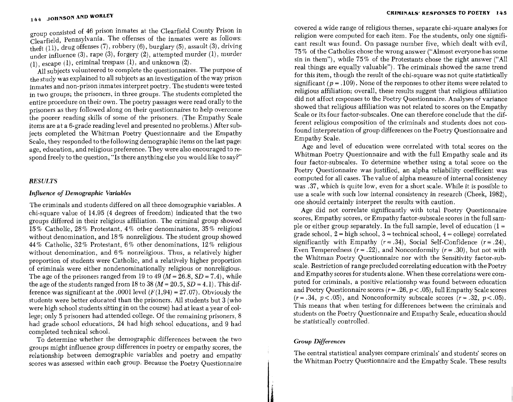group consisted of 46 prison inmates at the Clearfield County Prison in clearfield, pennsylvania. The offenses of the inmates were as follows: theft (11), drug offenses (7), robbery (6), burglary (5), assault (3), driving under influence (3), rape (3), forgery (2), attempted murder (1), murder (1), escape (1), criminal trespass  $(1)$ , and unknown (2).

All subjects volunteered to complete the questionnaires. The purpose of thestudy was explained to all subjects as an investigation of the way prison inmates and non-prison inmates interpret poetry. The students were tested in two groups; the prisoners, in three groups. The students completed the entire procedure on their own. The poetry passages were read orally to the prisoners as they followed along on their questionnaires to help overcome the poorer reading skills of some of the prisoners. (The Empathy Scale items are at a 6-grade reading level and presented no problems.) After subjects completed the Whitman Poetry Questionnaire and the Empathy Scale, they responded to the following demographic items on the last page: age, education, and religious preference. They were also encouraged to respond freely to the question, "Is there anything else you would like to say?"

#### *RESULTS*

#### *Influence of Demographic Variables*

The criminals and students differed on all three demographic variables. A chi-square value of 14.95 (4 degrees of freedom) indicated that the two groups differed in their religious affiliation. The criminal group showed 15 % Catholic, 28 % Protestant, 4 % other denominations, 35 % religious without denomination, and 18 % nonreligious. The student group showed 44 % Catholic, 32 % Protestant, 6 % other denominations, 12 % religious without denomination, and 6% nonreligious. Thus, a relatively higher proportion of students were Catholic, and a relatively higher proportion of criminals were either nondenominationally religious or nonreligious. The age of the prisoners ranged from 19 to 49  $(M = 26.8, SD = 7.4)$ , while the age of the students ranged from 18 to 38 ( $M = 20.5$ ,  $SD = 4.1$ ). This difference was significant at the .0001 level  $(F(1,94) = 27.07)$ . Obviously the students were better educated than the prisoners. All students but 3 (who were high school students sitting in on the course) had at least a year of college; only **5** prisoners had attended college. Of the remaining prisoners, 8 had grade school educations, 24 had high school educations, and 9 had completed technical school.

To determine whether the demographic differences between the two groups might influence group differences in poetry or empathy scores, the relationship between demographic variables and poetry and empathy scores was assessed within each group. Because the Poetry Ouestionnaire covered a wide range of religious themes, separate chi-square analyses for religion were computed for each item. For the students, only one significant result was found. On passage number five, which dealt with evil, 75% of the Catholics chose the wrong answer ("Almost everyone has some sin in them"), while 75% of the Protestants chose the right answer ("All real things are equally valuable"). The criminals showed the same trend for this item, though the result of the chi-square was not quite statistically significant ( $p = .109$ ). None of the responses to other items were related to religious affiliation; overall, these results suggest that religious affiliation did not affect responses to the Poetry Questionnaire. Analyses of variance showed that religious affiliation was not related to scores on the Empathy Scale or its four factor-subscales. One can therefore conclude that the different religious composition of the criminals and students does not confound interpretation of group differences on the Poetry Questionnaire and Empathy Scale.

Age and level of education were correlated with total scores on the Whitman Poetry Questionnaire and with the full Empathy scale and its four factor-subscales. To determine whether using a total score on the Poetry Questionnaire was justified, an alpha reliability coefficient was computed for all cases. The value of alpha measure of internal consistency was .37, which is quite low, even for a short scale. While it is possible to use a scale with such low internal consistency in research (Cheek, 1982), one should certainly interpret the results with caution.

Age did not correlate significantly with total Poetry Questionnaire scores, Empathy scores, or Empathy factor-subscale scores in the full sample or either group separately. In the full sample, level of education  $(1 =$ grade school,  $2 =$  high school,  $3 =$  technical school,  $4 =$  college) correlated significantly with Empathy  $(r=.34)$ , Social Self-Confidence  $(r=.24)$ , Even Temperedness ( $r = .22$ ), and Nonconformity ( $r = .30$ ), but not with the Whitman Poetry Questionnaire nor with the Sensitivity factor-subscale. Restriction of range precluded correlating education with the Poetry and Empathy scores for students alone. When these correlations were computed for criminals, a positive relationshp was found between education and Poetry Questionnaire scores ( $r = .26$ ,  $p < .05$ ), full Empathy Scale scores  $(r=.34, p-.05)$ , and Nonconformity subscale scores  $(r=.32, p-.05)$ . This means that when testing for differences between the criminals and students on the Poetry Questionnaire and Empathy Scale, education should be statistically controlled.

#### *Group Diflerences*

The central statistical analyses compare criminals' and students' scores on i the Whitman Poetry Questionnaire and the Empathy Scale. These results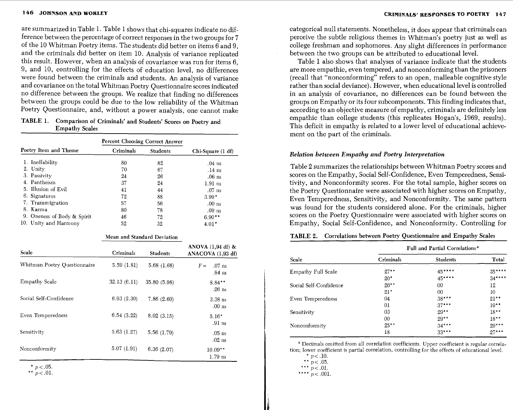are summarized in Table 1. Table 1 shows that chi-squares indicate no difference between the percentage of correct responses in the two groups for 7 of the 10 Whitman Poetry items. The students did better on items  $\vec{\theta}$  and 9, and the criminals did better on item 10. Analysis of variance replicated this result. However, when an analysis of covariance was run for items 6, 9, and 10, controlling for the effects of education level, no differences were found between the criminals and students. An analysis of variance and covariance on the total Whitman Poetry Questionnaire scores indicated no difference between the groups. We realize that finding no differences between the groups could be due to the low reliability of the Whitman Poetry Questionnaire, and, without a power analysis, one cannot make

**TABLE 1. Comparison of Criminals' and Students' Scores on Poetry and Empathy Scales** 

|                             | <b>Percent Choosing Correct Answer</b> |                 |                     |  |
|-----------------------------|----------------------------------------|-----------------|---------------------|--|
| Poetry Item and Theme       | Criminals                              | <b>Students</b> | $Chi-Square (1 df)$ |  |
| 1. Ineffability             | 80                                     | 82              | $.04$ ns            |  |
| 2. Unity                    | 70                                     | 67              | $.14$ ns            |  |
| 3. Passivity                | 24                                     | 26              | $.06$ ns            |  |
| 4. Pantheism                | 37                                     | 24              | $1.91$ ns           |  |
| 5. Illusion of Evil         | 41                                     | 44              | $.07$ ns            |  |
| 6. Signatures               | 72                                     | 88              | $3.99*$             |  |
| 7. Transmigration           | 57                                     | 56              | $.00$ ns            |  |
| 8. Karma                    | 80                                     | 78              | .09 ns              |  |
| 9. Oneness of Body & Spirit | 46                                     | 72              | $6.90**$            |  |
| 10. Unity and Harmony       | 52                                     | 32              | $4.01*$             |  |

#### Mean and Standard Deviation

| Scale                        | Criminals   | <b>Students</b> | ANOVA $(1,94 \text{ df})$ &<br>ANACOVA (1,93 df) |
|------------------------------|-------------|-----------------|--------------------------------------------------|
| Whitman Poetry Questionnaire | 5.59(1.81)  | 5.68(1.68)      | $F =$<br>$.07$ ns<br>$.84$ ns                    |
| <b>Empathy Scale</b>         | 32.13(6.11) | 35.80 (5.98)    | $8.84***$<br>$.26$ ns                            |
| Social Self-Confidence       | 6.93(2.30)  | 7.86(2.60)      | $3.38$ ns<br>$.00$ ns                            |
| Even Temperedness            | 6.54(3.22)  | 8.02(3.15)      | $5.16*$<br>.91ns                                 |
| Sensitivity                  | 5.63(1.27)  | 5.56(1.79)      | $.05$ ns<br>$.02$ ns                             |
| Nonconformity                | 5.07(1.91)  | 6.36(2.07)      | $10.09**$<br>$1.79$ ns                           |

 $*$   $p < .05$ .

 $^{\star\star}$  *p* < .01.

categorical null statements. Nonetheless, it does appear that criminals can perceive the subtle religious themes in Whitman's poetry just as well as college freshman and sophomores. Any slight differences in performance between the two groups can be attributed to educational level.

Table 1 also shows that analyses of variance indicate that the students are more empathic, even tempered, and nonconforming than the prisoners (recall that "nonconforming" refers to an open, malleable cognitive style rather than social deviance). However, when educational level is controlled in an analysis of covariance, no differences can be found between the groups on Empathy or its four subcomponents. This finding indicates that, according to an objective measure of empathy, criminals are definitely less empathic than college students (this replicates Hogan's, 1969, results). This deficit in empathy is related to a lower level of educational achievement on the part of the criminals.

#### **Relation between Empathy und Poetry Interpretation**

Table **2** summarizes the relationships between Whitman Poetry scores and scores on the Empathy, Social Self-Confidence, Even Temperedness, Sensitivity, and Nonconformity scores. For the total sample, higher scores on the Poetry Questionnaire were associated with higher scores on Empathy, Even Temperedness, Sensitivity, and Nonconformity. The same pattern was found for the students considered alone. For the criminals, higher scores on the Poetry Questionnaire were associated with higher scores on Empathy, Social Self-Confidence, and Nonconformity. Controlling for

|  | TABLE 2. Correlations between Poetry Questionnaire and Empathy Scales |
|--|-----------------------------------------------------------------------|
|--|-----------------------------------------------------------------------|

| Scale                  | Full and Partial Correlations <sup>a</sup> |                 |         |
|------------------------|--------------------------------------------|-----------------|---------|
|                        | Criminals                                  | <b>Students</b> | Total   |
| Empathy Full Scale     | $27***$                                    | $45***$         | $35***$ |
|                        | $20*$                                      | $45***$         | $34***$ |
| Social Self-Confidence | $26***$                                    | 00              | 12      |
|                        | $21*$                                      | 00              | 10      |
| Even Temperedness      | 04                                         | $38***$         | $21***$ |
|                        | 0 <sub>1</sub>                             | $37***$         | $19***$ |
| Sensitivity            | 03                                         | $29***$         | $18**$  |
|                        | 00                                         | $29**$          | $18***$ |
| Nonconformity          | $25**$                                     | $34***$         | $29***$ |
|                        | 18                                         | $33***$         | $27***$ |

**a** Decimals omitted from all correlation coefficients. Upper coefficient is regular correlation; lower coefficient is partial correlation, controlling for the effects of educational level.

 $*** \, p < .01.$ <br>\*\*\*\*  $p < .001.$ 

 $*$   $p < .10$ .

<sup>\*\*</sup>  $p<.05$ .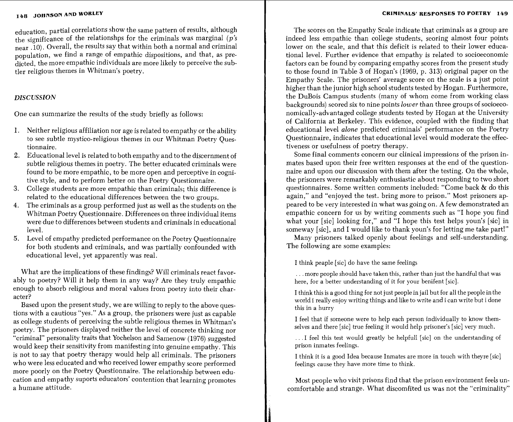## **148 JOHNSON AND WOKLEY**

education, partial correlations show the same pattern of results, although the significance of the relationshps for the criminals was marginal (p's  $rac{1}{\sqrt{1-\frac{1}{n}}}\frac{1}{\sqrt{1-\frac{1}{n}}}$  overall, the results say that within both a normal and criminal population, we find a range of empathic dispositions, and that, as predicted, the more empathic individuals are more likely to perceive the subtler religious themes in Whitman's poetry.

#### *DISCUSSION*

One can summarize the results of the study briefly as follows:

- 1. Neither religious affiliation nor age is related to empathy or the ability to see subtle mystico-religious themes in our Whitman Poetry Questionnaire.
- **2.** Educational level is related to both empathy and to the discernment of subtle religious themes in poetry. The better educated criminals were found to be more empathic, to be more open and perceptive in cognitive style, and to perform better on the Poetry Questionnaire.
- **3.** College students are more empathic than criminals; this difference is related to the educational differences between the two groups.
- **4.** The criminals as a group performed just as well as the students on the Whitman Poetry Questionnaire. Differences on three individual items were due to differences between students and criminals in educational level.
- *5.* Level of empathy predicted performance on the Poetry Questionnaire for both students and criminals, and was partially confounded with educational level, yet apparently was real.

What are the implications of these findings? Will criminals react favorably to poetry? Will it help them in any way? Are they truly empathic enough to absorb religious and moral values from poetry into their character?

Based upon the present study, we are willing to reply to the above questions with a cautious "yes." As a group, the prisoners were just as capable as college students of perceiving the subtle religious themes in Whitman's poetry. The prisoners displayed neither the level of concrete thinking nor "criminal" personality traits that Yochelson and Samenow (1976) suggested would keep their sensitivity from manifesting into genuine empathy. This is not to say that poetry therapy would help all criminals. The prisoners who were less educated and who received lower empathy score performed more poorly on the Poetry Questionnaire. The relationship between education and empathy suports educators' contention that learning promotes a humane attitude.

The scores on the Empathy Scale indicate that criminals as a group are indeed less empathic than college students, scoring almost four points lower on the scale, and that this deficit is related to their lower educational level. Further evidence that empathy is related to socioeconomic factors can be found by comparing empathy scores from the present study to those found in Table **3** of Hogan's (1969, p. **313)** original paper on the Empathy Scale. The prisoners' average score on the scale is a just point higher than the junior high school students tested by Hogan. Furthermore, the DuBois Campus students (many of whom come from working class backgrounds) scored six to nine points *lower* than three groups of socioeconomically-advantaged college students tested by Hogan at the University of California at Berkeley. This evidence, coupled with the finding that educational level *alone* predicted criminals' performance on the Poetry Questionnaire, indicates that educational level would moderate the effectiveness or usefulness of poetry therapy.

Some final comments concern our clinical impressions of the prison inmates based upon their free written responses at the end of the questionnaire and upon our discussion with them after the testing. On the whole, the prisoners were remarkably enthusiastic about responding to two short questionnaires. Some written comments included: "Come back & do this again," and "enjoyed the test. bring more to prison." Most prisoners appeared to be very interested in what was going on. A few demonstrated an empathic concern for us by writing comments such as "I hope you find what your [sic] looking for," and "I hope this test helps youn's [sic] in someway [sic], and I would like to thank youn's for letting me take part!"

Many prisoners talked openly about feelings and self-understanding. The following are some examples:

I think peaple [sic] do have the same feelings

. . .more people should have taken this, rather than just the handful that was here, for a better understanding of it for your benifent [sic].

I think this is a good thing for not just people in jail but for all the people in the world i really enjoy writing things and like to write and i can write but i done this in a hurry

I feel that if someone were to help each person individually to know themselves and there [sic] true feeling it would help prisoner's [sic] very much.

... I feel this test would greatly be helpfull [sic] on the understanding of prison inmates feelings.

I think it is a good Idea because Inmates are more in touch with theyre [sic] feelings cause they have more time to think.

Most people who visit prisons find that the prison environment feels uncomfortable and strange. What discomfited us was not the "criminality"